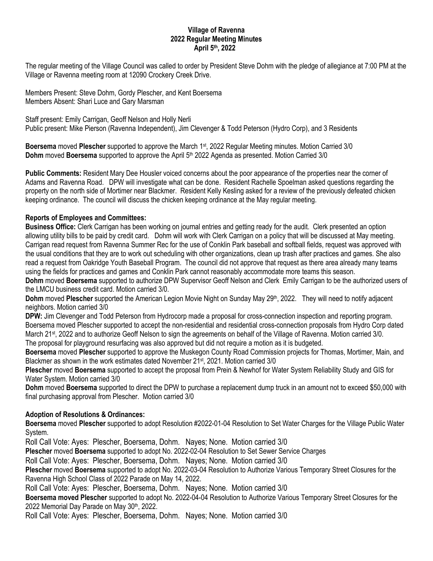## **Village of Ravenna 2022 Regular Meeting Minutes April 5th, 2022**

The regular meeting of the Village Council was called to order by President Steve Dohm with the pledge of allegiance at 7:00 PM at the Village or Ravenna meeting room at 12090 Crockery Creek Drive.

Members Present: Steve Dohm, Gordy Plescher, and Kent Boersema Members Absent: Shari Luce and Gary Marsman

Staff present: Emily Carrigan, Geoff Nelson and Holly Nerli Public present: Mike Pierson (Ravenna Independent), Jim Clevenger & Todd Peterson (Hydro Corp), and 3 Residents

**Boersema** moved **Plescher** supported to approve the March 1st, 2022 Regular Meeting minutes. Motion Carried 3/0 **Dohm** moved **Boersema** supported to approve the April 5th 2022 Agenda as presented. Motion Carried 3/0

**Public Comments:** Resident Mary Dee Housler voiced concerns about the poor appearance of the properties near the corner of Adams and Ravenna Road. DPW will investigate what can be done. Resident Rachelle Spoelman asked questions regarding the property on the north side of Mortimer near Blackmer. Resident Kelly Kesling asked for a review of the previously defeated chicken keeping ordinance. The council will discuss the chicken keeping ordinance at the May regular meeting.

## **Reports of Employees and Committees:**

**Business Office:** Clerk Carrigan has been working on journal entries and getting ready for the audit. Clerk presented an option allowing utility bills to be paid by credit card. Dohm will work with Clerk Carrigan on a policy that will be discussed at May meeting. Carrigan read request from Ravenna Summer Rec for the use of Conklin Park baseball and softball fields, request was approved with the usual conditions that they are to work out scheduling with other organizations, clean up trash after practices and games. She also read a request from Oakridge Youth Baseball Program. The council did not approve that request as there area already many teams using the fields for practices and games and Conklin Park cannot reasonably accommodate more teams this season.

**Dohm** moved **Boersema** supported to authorize DPW Supervisor Geoff Nelson and Clerk Emily Carrigan to be the authorized users of the LMCU business credit card. Motion carried 3/0.

**Dohm** moved **Plescher** supported the American Legion Movie Night on Sunday May 29<sup>th</sup>, 2022. They will need to notify adjacent neighbors. Motion carried 3/0

**DPW:** Jim Clevenger and Todd Peterson from Hydrocorp made a proposal for cross-connection inspection and reporting program. Boersema moved Plescher supported to accept the non-residential and residential cross-connection proposals from Hydro Corp dated March 21<sup>st</sup>, 2022 and to authorize Geoff Nelson to sign the agreements on behalf of the Village of Ravenna. Motion carried 3/0. The proposal for playground resurfacing was also approved but did not require a motion as it is budgeted.

**Boersema** moved **Plescher** supported to approve the Muskegon County Road Commission projects for Thomas, Mortimer, Main, and Blackmer as shown in the work estimates dated November 21st, 2021. Motion carried 3/0

**Plescher** moved **Boersema** supported to accept the proposal from Prein & Newhof for Water System Reliability Study and GIS for Water System. Motion carried 3/0

**Dohm** moved **Boersema** supported to direct the DPW to purchase a replacement dump truck in an amount not to exceed \$50,000 with final purchasing approval from Plescher. Motion carried 3/0

## **Adoption of Resolutions & Ordinances:**

**Boersema** moved **Plescher** supported to adopt Resolution #2022-01-04 Resolution to Set Water Charges for the Village Public Water System.

Roll Call Vote: Ayes: Plescher, Boersema, Dohm. Nayes; None. Motion carried 3/0

**Plescher** moved **Boersema** supported to adopt No. 2022-02-04 Resolution to Set Sewer Service Charges

Roll Call Vote: Ayes: Plescher, Boersema, Dohm. Nayes; None. Motion carried 3/0

**Plescher** moved **Boersema** supported to adopt No. 2022-03-04 Resolution to Authorize Various Temporary Street Closures for the Ravenna High School Class of 2022 Parade on May 14, 2022.

Roll Call Vote: Ayes: Plescher, Boersema, Dohm. Nayes; None. Motion carried 3/0

**Boersema moved Plescher** supported to adopt No. 2022-04-04 Resolution to Authorize Various Temporary Street Closures for the 2022 Memorial Day Parade on May 30th, 2022.

Roll Call Vote: Ayes: Plescher, Boersema, Dohm. Nayes; None. Motion carried 3/0